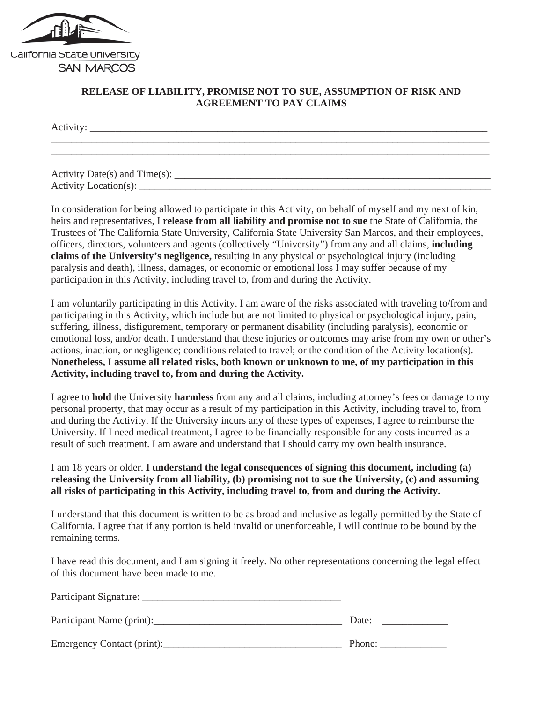

## **RELEASE OF LIABILITY, PROMISE NOT TO SUE, ASSUMPTION OF RISK AND AGREEMENT TO PAY CLAIMS**

\_\_\_\_\_\_\_\_\_\_\_\_\_\_\_\_\_\_\_\_\_\_\_\_\_\_\_\_\_\_\_\_\_\_\_\_\_\_\_\_\_\_\_\_\_\_\_\_\_\_\_\_\_\_\_\_\_\_\_\_\_\_\_\_\_\_\_\_\_\_\_\_\_\_\_\_\_\_\_\_\_\_\_\_\_\_

Activity: \_\_\_\_\_\_\_\_\_\_\_\_\_\_\_\_\_\_\_\_\_\_\_\_\_\_\_\_\_\_\_\_\_\_\_\_\_\_\_\_\_\_\_\_\_\_\_\_\_\_\_\_\_\_\_\_\_\_\_\_\_\_\_\_\_\_\_\_\_\_\_\_\_\_\_\_\_\_

Activity Date(s) and  $Time(s)$ : Activity Location $(s)$ :

In consideration for being allowed to participate in this Activity, on behalf of myself and my next of kin, heirs and representatives, I **release from all liability and promise not to sue** the State of California, the Trustees of The California State University, California State University San Marcos, and their employees, officers, directors, volunteers and agents (collectively "University") from any and all claims, **including claims of the University's negligence,** resulting in any physical or psychological injury (including paralysis and death), illness, damages, or economic or emotional loss I may suffer because of my participation in this Activity, including travel to, from and during the Activity.

I am voluntarily participating in this Activity. I am aware of the risks associated with traveling to/from and participating in this Activity, which include but are not limited to physical or psychological injury, pain, suffering, illness, disfigurement, temporary or permanent disability (including paralysis), economic or emotional loss, and/or death. I understand that these injuries or outcomes may arise from my own or other's actions, inaction, or negligence; conditions related to travel; or the condition of the Activity location(s). **Nonetheless, I assume all related risks, both known or unknown to me, of my participation in this Activity, including travel to, from and during the Activity.** 

I agree to **hold** the University **harmless** from any and all claims, including attorney's fees or damage to my personal property, that may occur as a result of my participation in this Activity, including travel to, from and during the Activity. If the University incurs any of these types of expenses, I agree to reimburse the University. If I need medical treatment, I agree to be financially responsible for any costs incurred as a result of such treatment. I am aware and understand that I should carry my own health insurance.

I am 18 years or older. **I understand the legal consequences of signing this document, including (a) releasing the University from all liability, (b) promising not to sue the University, (c) and assuming all risks of participating in this Activity, including travel to, from and during the Activity.** 

I understand that this document is written to be as broad and inclusive as legally permitted by the State of California. I agree that if any portion is held invalid or unenforceable, I will continue to be bound by the remaining terms.

I have read this document, and I am signing it freely. No other representations concerning the legal effect of this document have been made to me.

| Participant Signature:     |        |
|----------------------------|--------|
| Participant Name (print):  | Date:  |
| Emergency Contact (print): | Phone: |